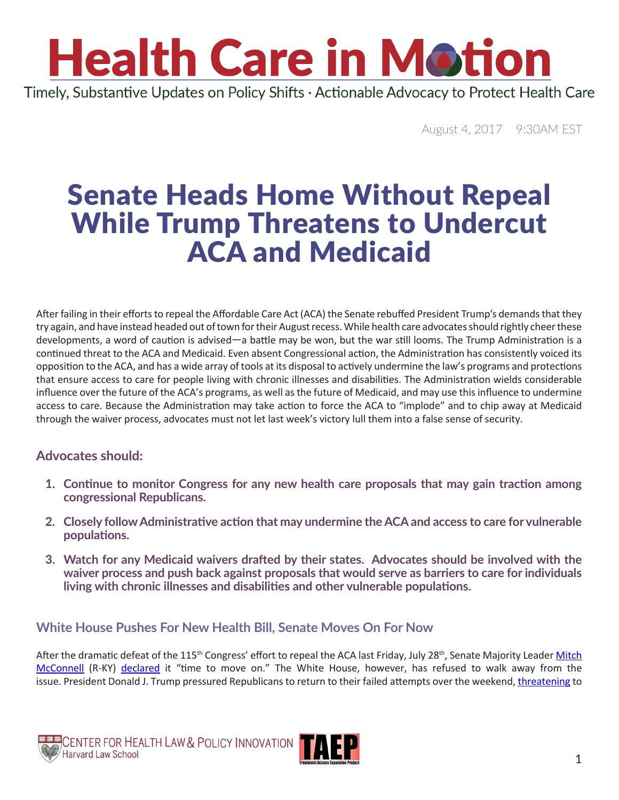### **Health Care in Motion** Timely, Substantive Updates on Policy Shifts · Actionable Advocacy to Protect Health Care

August 4, 2017 9:30AM EST

### Senate Heads Home Without Repeal While Trump Threatens to Undercut ACA and Medicaid

After failing in their efforts to repeal the Affordable Care Act (ACA) the Senate rebuffed President Trump's demands that they try again, and have instead headed out of town for their August recess. While health care advocates should rightly cheer these developments, a word of caution is advised—a battle may be won, but the war still looms. The Trump Administration is a continued threat to the ACA and Medicaid. Even absent Congressional action, the Administration has consistently voiced its opposition to the ACA, and has a wide array of tools at its disposal to actively undermine the law's programs and protections that ensure access to care for people living with chronic illnesses and disabilities. The Administration wields considerable influence over the future of the ACA's programs, as well as the future of Medicaid, and may use this influence to undermine access to care. Because the Administration may take action to force the ACA to "implode" and to chip away at Medicaid through the waiver process, advocates must not let last week's victory lull them into a false sense of security.

#### **Advocates should:**

- **1. Continue to monitor Congress for any new health care proposals that may gain traction among congressional Republicans.**
- **2. Closely follow Administrative action that may undermine the ACA and access to care for vulnerable populations.**
- **3. Watch for any Medicaid waivers drafted by their states. Advocates should be involved with the waiver process and push back against proposals that would serve as barriers to care for individuals living with chronic illnesses and disabilities and other vulnerable populations.**

#### **White House Pushes For New Health Bill, Senate Moves On For Now**

After the dramatic defeat of the 115<sup>th</sup> Congress' effort to repeal the ACA last Friday, July 28<sup>th</sup>, Senate Majority Leader Mitch [McConnell](https://www.mcconnell.senate.gov/public/index.cfm/contactform) (R-KY) [declared](http://www.businessinsider.com/mcconnell-health-care-vote-failure-2017-7) it "time to move on." The White House, however, has refused to walk away from the issue. President Donald J. Trump pressured Republicans to return to their failed attempts over the weekend, [threatening](http://thehill.com/homenews/administration/344463-trump-threatens-to-end-csr-payments-if-healthcare-reform-isnt-passed) to

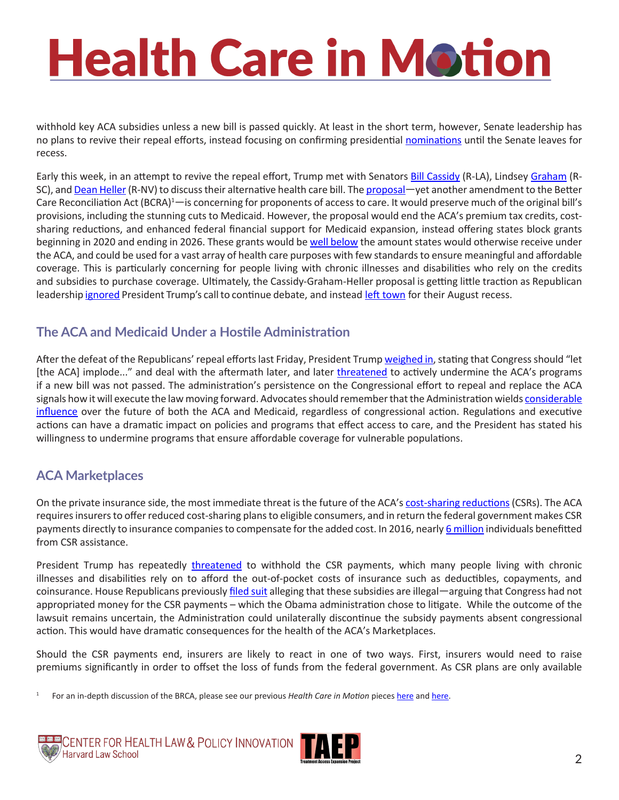withhold key ACA subsidies unless a new bill is passed quickly. At least in the short term, however, Senate leadership has no plans to revive their repeal efforts, instead focusing on confirming presidential [nominations](http://thehill.com/homenews/senate/344697-senate-republicans-brush-off-trumps-healthcare-demands) until the Senate leaves for recess.

Early this week, in an attempt to revive the repeal effort, Trump met with Senators [Bill Cassidy](https://www.cassidy.senate.gov/contact) (R-LA), Lindsey [Graham](https://www.lgraham.senate.gov/public/index.cfm/contact) (R-SC), and [Dean Heller](https://www.heller.senate.gov/public/index.cfm/contact-form) (R-NV) to discuss their alternative health care bill. The [proposal](http://premiumtaxcredits.wikispaces.com/file/view/Graham-Cassidy.pdf/616032053/Graham-Cassidy.pdf)—yet another amendment to the Better Care Reconciliation Act (BCRA)<sup>1</sup> — is concerning for proponents of access to care. It would preserve much of the original bill's provisions, including the stunning cuts to Medicaid. However, the proposal would end the ACA's premium tax credits, costsharing reductions, and enhanced federal financial support for Medicaid expansion, instead offering states block grants beginning in 2020 and ending in 2026. These grants would be [well below](https://www.cbpp.org/research/health/cassidy-graham-amendment-would-cut-hundreds-of-billions-from-coverage-programs-cause) the amount states would otherwise receive under the ACA, and could be used for a vast array of health care purposes with few standards to ensure meaningful and affordable coverage. This is particularly concerning for people living with chronic illnesses and disabilities who rely on the credits and subsidies to purchase coverage. Ultimately, the Cassidy-Graham-Heller proposal is getting little traction as Republican leadership [ignored](http://www.politico.com/story/2017/07/31/obamacare-trump-republicans-repeal-241185) President Trump's call to continue debate, and instead [left town](http://www.politico.com/story/2017/08/03/republicans-leave-town-with-no-clear-path-on-obamacare-241307?lo=ap_e1) for their August recess.

### **The ACA and Medicaid Under a Hostile Administration**

After the defeat of the Republicans' repeal efforts last Friday, President Trump [weighed in,](http://www.businessinsider.com/mcconnell-health-care-vote-failure-2017-7) stating that Congress should "let [the ACA] implode..." and deal with the aftermath later, and later [threaten](http://thehill.com/homenews/senate/344549-collins-trumps-threat-to-end-obamacare-payments-wont-change-my-vote)ed to actively undermine the ACA's programs if a new bill was not passed. The administration's persistence on the Congressional effort to repeal and replace the ACA signals how it will execute the law moving forward. Advocates should remember that the Administration wields considerable [influence](http://theincidentaleconomist.com/wordpress/executive-actions-trump-could-take-to-change-the-aca/) over the future of both the ACA and Medicaid, regardless of congressional action. Regulations and executive actions can have a dramatic impact on policies and programs that effect access to care, and the President has stated his willingness to undermine programs that ensure affordable coverage for vulnerable populations.

### **ACA Marketplaces**

On the private insurance side, the most immediate threat is the future of the ACA's [cost-sharing reductions](https://www.healthcare.gov/glossary/cost-sharing-reduction/)(CSRs). The ACA requires insurers to offer reduced cost-sharing plans to eligible consumers, and in return the federal government makes CSR payments directly to insurance companies to compensate for the added cost. In 2016, nearly [6 million](https://www.cms.gov/Newsroom/MediaReleaseDatabase/Fact-sheets/2016-Fact-sheets-items/2016-10-19.html?DLPage=1&DLEntries=10&DLFilter=effectuated enrollment&DLSort=0&DLSortDir=descending) individuals benefitted from CSR assistance.

President Trump has repeatedly [threatened](http://thehill.com/homenews/senate/344549-collins-trumps-threat-to-end-obamacare-payments-wont-change-my-vote) to withhold the CSR payments, which many people living with chronic illnesses and disabilities rely on to afford the out-of-pocket costs of insurance such as deductibles, copayments, and coinsurance. House Republicans previously [filed suit](http://healthaffairs.org/blog/2017/07/31/aca-round-up-a-double-threat-presidential-tweet-cassidy-graham-heller-bipartisan-market-stabilization-ideas-and-good-news-from-ohio/) alleging that these subsidies are illegal—arguing that Congress had not appropriated money for the CSR payments – which the Obama administration chose to litigate. While the outcome of the lawsuit remains uncertain, the Administration could unilaterally discontinue the subsidy payments absent congressional action. This would have dramatic consequences for the health of the ACA's Marketplaces.

Should the CSR payments end, insurers are likely to react in one of two ways. First, insurers would need to raise premiums significantly in order to offset the loss of funds from the federal government. As CSR plans are only available

1 For an in-depth discussion of the BRCA, please see our previous *Health Care in Motion* pieces [here](http://www.chlpi.org/wp-content/uploads/2013/12/HCIM_06_23_2017.pdf) and [here.](http://www.chlpi.org/wp-content/uploads/2013/12/HCIM_07_14_2017.pdf)



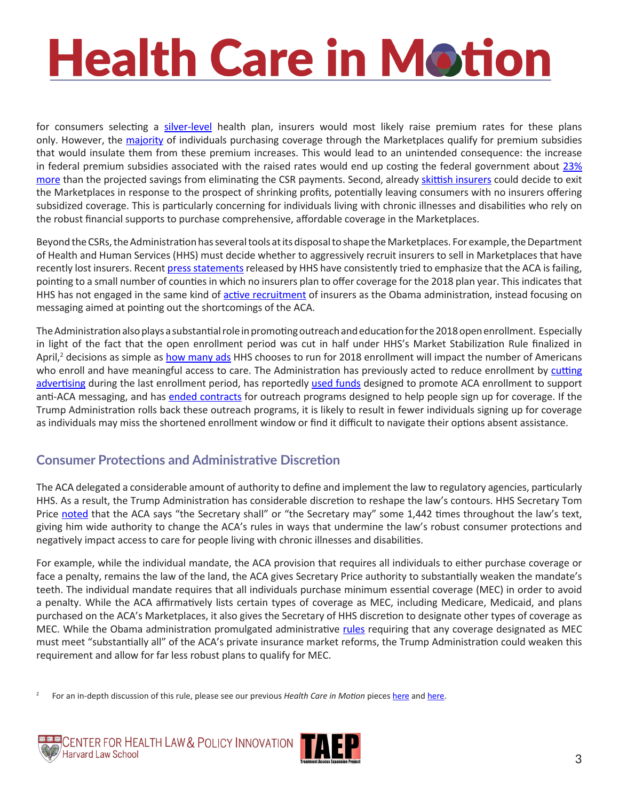for consumers selecting a [silver-level](https://www.healthcare.gov/choose-a-plan/plans-categories/) health plan, insurers would most likely raise premium rates for these plans only. However, the [majority](https://www.cms.gov/Newsroom/MediaReleaseDatabase/Fact-sheets/2016-Fact-sheets-items/2016-10-19.html?DLPage=1&DLEntries=10&DLFilter=effectuated enrollment&DLSort=0&DLSortDir=descending) of individuals purchasing coverage through the Marketplaces qualify for premium subsidies that would insulate them from these premium increases. This would lead to an unintended consequence: the increase in federal premium subsidies associated with the raised rates would end up costing the federal government about [23%](http://www.kff.org/health-reform/issue-brief/the-effects-of-ending-the-affordable-care-acts-cost-sharing-reduction-payments/) [more](http://www.kff.org/health-reform/issue-brief/the-effects-of-ending-the-affordable-care-acts-cost-sharing-reduction-payments/) than the projected savings from eliminating the CSR payments. Second, already [skittish insurers](https://www.ahip.org/wp-content/uploads/2017/04/Joint-CSR-Letter-to-President-Trump-04.12.2017.pdf) could decide to exit the Marketplaces in response to the prospect of shrinking profits, potentially leaving consumers with no insurers offering subsidized coverage. This is particularly concerning for individuals living with chronic illnesses and disabilities who rely on the robust financial supports to purchase comprehensive, affordable coverage in the Marketplaces.

Beyond the CSRs, the Administration has several tools at its disposal to shape the Marketplaces. For example, the Department of Health and Human Services (HHS) must decide whether to aggressively recruit insurers to sell in Marketplaces that have recently lost insurers. Recent [press statements](https://www.cms.gov/Newsroom/MediaReleaseDatabase/Press-releases/2017-Press-releases-items/2017-06-13.html) released by HHS have consistently tried to emphasize that the ACA is failing, pointing to a small number of counties in which no insurers plan to offer coverage for the 2018 plan year. This indicates that HHS has not engaged in the same kind of [active recruitment](https://www.vox.com/policy-and-politics/2017/4/17/15332738/obamacare-insurer-empty-shelf-problem) of insurers as the Obama administration, instead focusing on messaging aimed at pointing out the shortcomings of the ACA.

The Administration also plays a substantial role in promoting outreach and education for the 2018 open enrollment. Especially in light of the fact that the open enrollment period was cut in half under HHS's Market Stabilization Rule finalized in April,<sup>2</sup> decisions as simple as [how many ads](http://content.healthaffairs.org/content/early/2017/03/13/hlthaff.2016.1440) HHS chooses to run for 2018 enrollment will impact the number of Americans who enroll and have meaningful access to care. The Administration has previously acted to reduce enrollment by cutting [advertising](https://www.cnbc.com/2017/01/26/trump-administration-kills-obamacare-ads-for-healthcaregov.html) during the last enrollment period, has reportedly used [funds](http://thehill.com/homenews/senate/343300-senate-democrats-raise-questions-about-admin-funding-anti-obamacare-efforts) designed to promote ACA enrollment to support anti-ACA messaging, and has [ended contracts](http://www.pbs.org/newshour/rundown/trump-administration-ends-affordable-care-act-assistance-contracts-18-cities/) for outreach programs designed to help people sign up for coverage. If the Trump Administration rolls back these outreach programs, it is likely to result in fewer individuals signing up for coverage as individuals may miss the shortened enrollment window or find it difficult to navigate their options absent assistance.

### **Consumer Protections and Administrative Discretion**

The ACA delegated a considerable amount of authority to define and implement the law to regulatory agencies, particularly HHS. As a result, the Trump Administration has considerable discretion to reshape the law's contours. HHS Secretary Tom Price [noted](https://twitter.com/secpricemd/status/842758846816964608?lang=en) that the ACA says "the Secretary shall" or "the Secretary may" some 1,442 times throughout the law's text, giving him wide authority to change the ACA's rules in ways that undermine the law's robust consumer protections and negatively impact access to care for people living with chronic illnesses and disabilities.

For example, while the individual mandate, the ACA provision that requires all individuals to either purchase coverage or face a penalty, remains the law of the land, the ACA gives Secretary Price authority to substantially weaken the mandate's teeth. The individual mandate requires that all individuals purchase minimum essential coverage (MEC) in order to avoid a penalty. While the ACA affirmatively lists certain types of coverage as MEC, including Medicare, Medicaid, and plans purchased on the ACA's Marketplaces, it also gives the Secretary of HHS discretion to designate other types of coverage as MEC. While the Obama administration promulgated administrative [rules](https://www.federalregister.gov/documents/2013/07/01/2013-15530/patient-protection-and-affordable-care-act-exchange-functions-eligibility-for-exemptions) requiring that any coverage designated as MEC must meet "substantially all" of the ACA's private insurance market reforms, the Trump Administration could weaken this requirement and allow for far less robust plans to qualify for MEC.

<sup>2</sup> For an in-depth discussion of this rule, please see our previous *Health Care in Motion* pieces [here](http://www.chlpi.org/wp-content/uploads/2013/12/Health-Care-in-Motion_04_19_2017.pdf) and [here.](http://www.chlpi.org/wp-content/uploads/2013/12/Health-Care-in-Motion_02_23_2017.pdf)



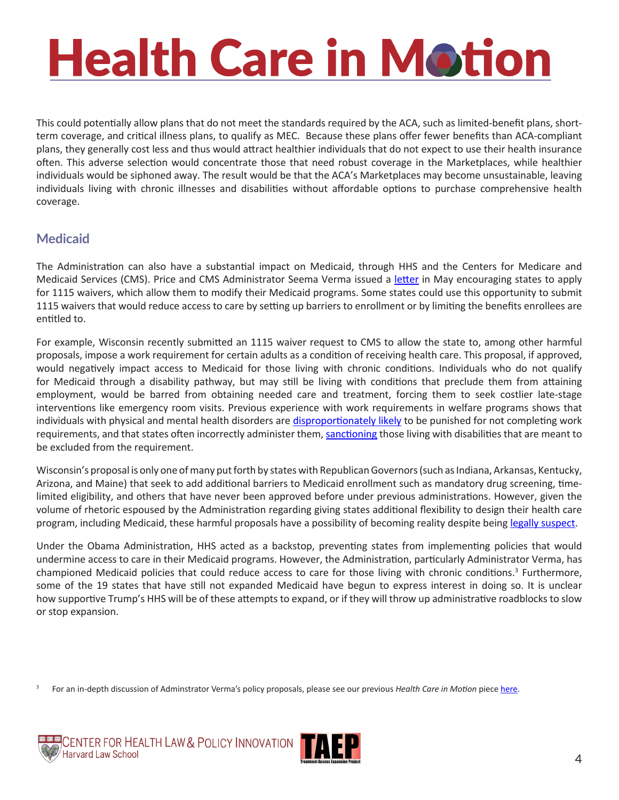This could potentially allow plans that do not meet the standards required by the ACA, such as limited-benefit plans, shortterm coverage, and critical illness plans, to qualify as MEC. Because these plans offer fewer benefits than ACA-compliant plans, they generally cost less and thus would attract healthier individuals that do not expect to use their health insurance often. This adverse selection would concentrate those that need robust coverage in the Marketplaces, while healthier individuals would be siphoned away. The result would be that the ACA's Marketplaces may become unsustainable, leaving individuals living with chronic illnesses and disabilities without affordable options to purchase comprehensive health coverage.

#### **Medicaid**

The Administration can also have a substantial impact on Medicaid, through HHS and the Centers for Medicare and Medicaid Services (CMS). Price and CMS Administrator Seema Verma issued a [letter](https://www.hhs.gov/about/news/2017/03/14/secretary-price-and-cms-administrator-verma-take-first-joint-action.html) in May encouraging states to apply for 1115 waivers, which allow them to modify their Medicaid programs. Some states could use this opportunity to submit 1115 waivers that would reduce access to care by setting up barriers to enrollment or by limiting the benefits enrollees are entitled to.

For example, Wisconsin recently submitted an 1115 waiver request to CMS to allow the state to, among other harmful proposals, impose a work requirement for certain adults as a condition of receiving health care. This proposal, if approved, would negatively impact access to Medicaid for those living with chronic conditions. Individuals who do not qualify for Medicaid through a disability pathway, but may still be living with conditions that preclude them from attaining employment, would be barred from obtaining needed care and treatment, forcing them to seek costlier late-stage interventions like emergency room visits. Previous experience with work requirements in welfare programs shows that individuals with physical and mental health disorders are [disproportionately likely](http://repository.upenn.edu/cgi/viewcontent.cgi?article=1028&context=spp_papers) to be punished for not completing work requirements, and that states often incorrectly administer them, [sanctioning](http://www.researchondisability.org/docs/publications/snap-paper-8-23-2014-with-appendix.pdf?sfvrsn=2) those living with disabilities that are meant to be excluded from the requirement.

Wisconsin's proposal is only one of many put forth by states with Republican Governors (such as Indiana, Arkansas, Kentucky, Arizona, and Maine) that seek to add additional barriers to Medicaid enrollment such as mandatory drug screening, timelimited eligibility, and others that have never been approved before under previous administrations. However, given the volume of rhetoric espoused by the Administration regarding giving states additional flexibility to design their health care program, including Medicaid, these harmful proposals have a possibility of becoming reality despite being legally [suspect](http://www.healthlaw.org/issues/medicaid/waivers/medicaid-work-requirements-legally-suspect).

Under the Obama Administration, HHS acted as a backstop, preventing states from implementing policies that would undermine access to care in their Medicaid programs. However, the Administration, particularly Administrator Verma, has championed Medicaid policies that could reduce access to care for those living with chronic conditions.<sup>3</sup> Furthermore, some of the 19 states that have still not expanded Medicaid have begun to express interest in doing so. It is unclear how supportive Trump's HHS will be of these attempts to expand, or if they will throw up administrative roadblocks to slow or stop expansion.

<sup>&</sup>lt;sup>3</sup> For an in-depth discussion of Adminstrator Verma's policy proposals, please see our previous *Health Care in Motion* piece [here](http://www.chlpi.org/wp-content/uploads/2013/12/HCIM_05_19_2017.pdf).